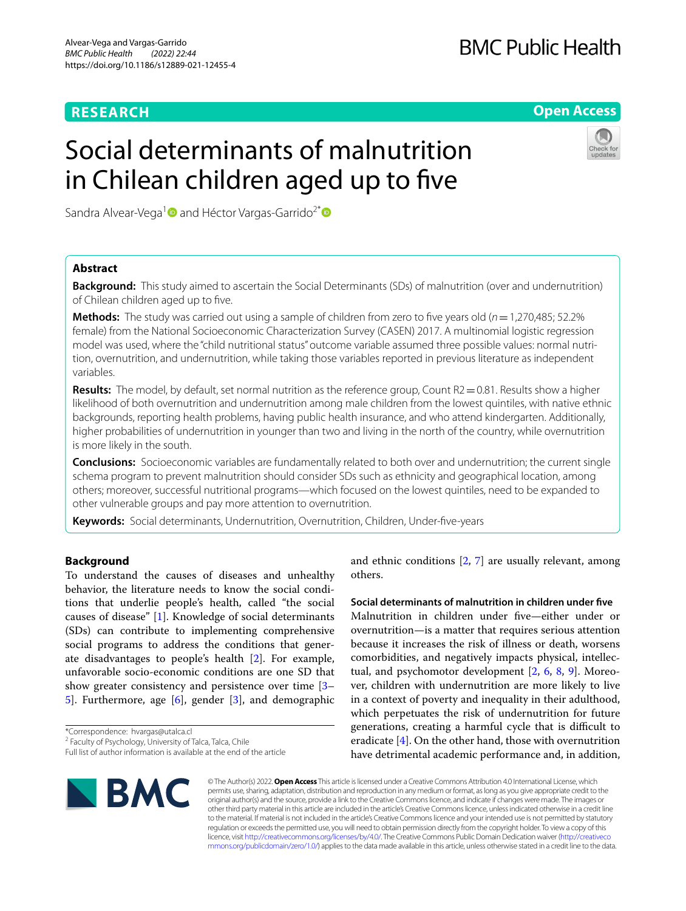# **RESEARCH**

# **Open Access**

# Social determinants of malnutrition in Chilean children aged up to fve

Sandra Alvear-Vega<sup>[1](https://orcid.org/0000-0002-2249-0720)</sup> and Héctor Vargas-Garrido<sup>2[\\*](https://orcid.org/0000-0003-4538-4274)</sup> <sup>■</sup>

# **Abstract**

**Background:** This study aimed to ascertain the Social Determinants (SDs) of malnutrition (over and undernutrition) of Chilean children aged up to fve.

**Methods:** The study was carried out using a sample of children from zero to fve years old (*n*=1,270,485; 52.2% female) from the National Socioeconomic Characterization Survey (CASEN) 2017. A multinomial logistic regression model was used, where the "child nutritional status" outcome variable assumed three possible values: normal nutrition, overnutrition, and undernutrition, while taking those variables reported in previous literature as independent variables.

**Results:** The model, by default, set normal nutrition as the reference group, Count R2=0.81. Results show a higher likelihood of both overnutrition and undernutrition among male children from the lowest quintiles, with native ethnic backgrounds, reporting health problems, having public health insurance, and who attend kindergarten. Additionally, higher probabilities of undernutrition in younger than two and living in the north of the country, while overnutrition is more likely in the south.

**Conclusions:** Socioeconomic variables are fundamentally related to both over and undernutrition; the current single schema program to prevent malnutrition should consider SDs such as ethnicity and geographical location, among others; moreover, successful nutritional programs—which focused on the lowest quintiles, need to be expanded to other vulnerable groups and pay more attention to overnutrition.

**Keywords:** Social determinants, Undernutrition, Overnutrition, Children, Under-fve-years

# **Background**

To understand the causes of diseases and unhealthy behavior, the literature needs to know the social conditions that underlie people's health, called "the social causes of disease" [\[1](#page-8-0)]. Knowledge of social determinants (SDs) can contribute to implementing comprehensive social programs to address the conditions that generate disadvantages to people's health [\[2](#page-8-1)]. For example, unfavorable socio-economic conditions are one SD that show greater consistency and persistence over time [[3–](#page-8-2) [5\]](#page-8-3). Furthermore, age [[6\]](#page-8-4), gender [\[3](#page-8-2)], and demographic

Full list of author information is available at the end of the article



and ethnic conditions [[2,](#page-8-1) [7](#page-8-5)] are usually relevant, among others.

**Social determinants of malnutrition in children under fve** Malnutrition in children under fve—either under or overnutrition—is a matter that requires serious attention because it increases the risk of illness or death, worsens comorbidities, and negatively impacts physical, intellectual, and psychomotor development [[2,](#page-8-1) [6](#page-8-4), [8,](#page-8-6) [9](#page-8-7)]. Moreover, children with undernutrition are more likely to live in a context of poverty and inequality in their adulthood, which perpetuates the risk of undernutrition for future generations, creating a harmful cycle that is difficult to eradicate [\[4](#page-8-8)]. On the other hand, those with overnutrition have detrimental academic performance and, in addition,

© The Author(s) 2022. **Open Access** This article is licensed under a Creative Commons Attribution 4.0 International License, which permits use, sharing, adaptation, distribution and reproduction in any medium or format, as long as you give appropriate credit to the original author(s) and the source, provide a link to the Creative Commons licence, and indicate if changes were made. The images or other third party material in this article are included in the article's Creative Commons licence, unless indicated otherwise in a credit line to the material. If material is not included in the article's Creative Commons licence and your intended use is not permitted by statutory regulation or exceeds the permitted use, you will need to obtain permission directly from the copyright holder. To view a copy of this licence, visit [http://creativecommons.org/licenses/by/4.0/.](http://creativecommons.org/licenses/by/4.0/) The Creative Commons Public Domain Dedication waiver ([http://creativeco](http://creativecommons.org/publicdomain/zero/1.0/) [mmons.org/publicdomain/zero/1.0/](http://creativecommons.org/publicdomain/zero/1.0/)) applies to the data made available in this article, unless otherwise stated in a credit line to the data.

<sup>\*</sup>Correspondence: hvargas@utalca.cl

<sup>&</sup>lt;sup>2</sup> Faculty of Psychology, University of Talca, Talca, Chile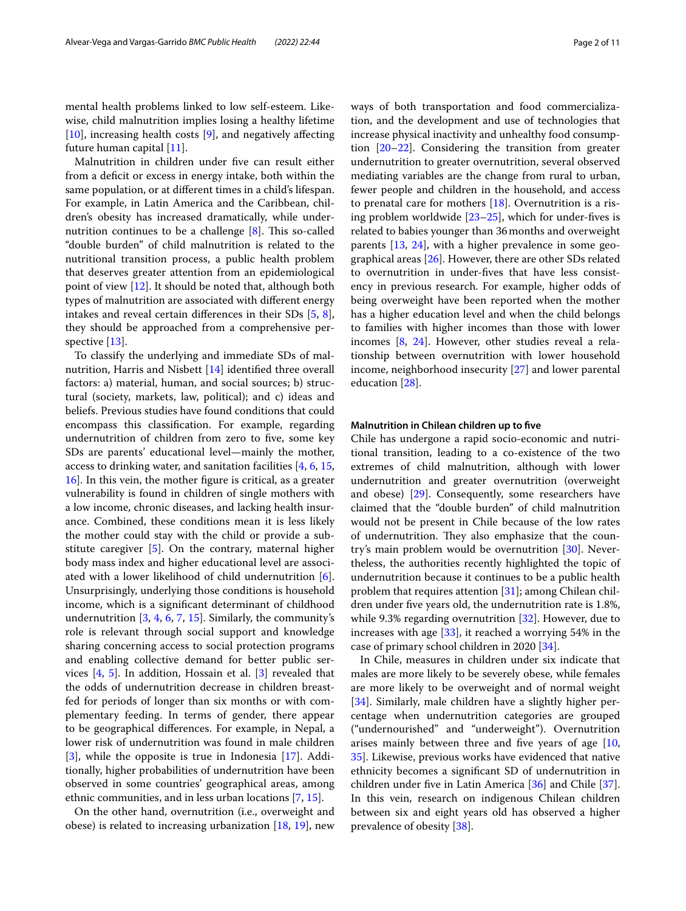mental health problems linked to low self-esteem. Likewise, child malnutrition implies losing a healthy lifetime  $[10]$  $[10]$ , increasing health costs  $[9]$  $[9]$ , and negatively affecting future human capital [[11\]](#page-9-0).

Malnutrition in children under fve can result either from a deficit or excess in energy intake, both within the same population, or at diferent times in a child's lifespan. For example, in Latin America and the Caribbean, children's obesity has increased dramatically, while undernutrition continues to be a challenge  $[8]$ . This so-called "double burden" of child malnutrition is related to the nutritional transition process, a public health problem that deserves greater attention from an epidemiological point of view [\[12](#page-9-1)]. It should be noted that, although both types of malnutrition are associated with diferent energy intakes and reveal certain diferences in their SDs [[5,](#page-8-3) [8](#page-8-6)], they should be approached from a comprehensive perspective [\[13](#page-9-2)].

To classify the underlying and immediate SDs of malnutrition, Harris and Nisbett [[14](#page-9-3)] identifed three overall factors: a) material, human, and social sources; b) structural (society, markets, law, political); and c) ideas and beliefs. Previous studies have found conditions that could encompass this classifcation. For example, regarding undernutrition of children from zero to five, some key SDs are parents' educational level—mainly the mother, access to drinking water, and sanitation facilities [\[4](#page-8-8), [6,](#page-8-4) [15](#page-9-4), [16\]](#page-9-5). In this vein, the mother fgure is critical, as a greater vulnerability is found in children of single mothers with a low income, chronic diseases, and lacking health insurance. Combined, these conditions mean it is less likely the mother could stay with the child or provide a substitute caregiver [\[5\]](#page-8-3). On the contrary, maternal higher body mass index and higher educational level are associated with a lower likelihood of child undernutrition [\[6](#page-8-4)]. Unsurprisingly, underlying those conditions is household income, which is a signifcant determinant of childhood undernutrition  $[3, 4, 6, 7, 15]$  $[3, 4, 6, 7, 15]$  $[3, 4, 6, 7, 15]$  $[3, 4, 6, 7, 15]$  $[3, 4, 6, 7, 15]$  $[3, 4, 6, 7, 15]$  $[3, 4, 6, 7, 15]$  $[3, 4, 6, 7, 15]$  $[3, 4, 6, 7, 15]$  $[3, 4, 6, 7, 15]$  $[3, 4, 6, 7, 15]$ . Similarly, the community's role is relevant through social support and knowledge sharing concerning access to social protection programs and enabling collective demand for better public services [\[4](#page-8-8), [5](#page-8-3)]. In addition, Hossain et al. [[3\]](#page-8-2) revealed that the odds of undernutrition decrease in children breastfed for periods of longer than six months or with complementary feeding. In terms of gender, there appear to be geographical diferences. For example, in Nepal, a lower risk of undernutrition was found in male children [[3\]](#page-8-2), while the opposite is true in Indonesia [[17](#page-9-6)]. Additionally, higher probabilities of undernutrition have been observed in some countries' geographical areas, among ethnic communities, and in less urban locations [[7,](#page-8-5) [15](#page-9-4)].

On the other hand, overnutrition (i.e., overweight and obese) is related to increasing urbanization [[18](#page-9-7), [19](#page-9-8)], new ways of both transportation and food commercialization, and the development and use of technologies that increase physical inactivity and unhealthy food consumption [[20](#page-9-9)[–22](#page-9-10)]. Considering the transition from greater undernutrition to greater overnutrition, several observed mediating variables are the change from rural to urban, fewer people and children in the household, and access to prenatal care for mothers  $[18]$  $[18]$ . Overnutrition is a rising problem worldwide  $[23-25]$  $[23-25]$ , which for under-fives is related to babies younger than 36months and overweight parents [[13,](#page-9-2) [24](#page-9-13)], with a higher prevalence in some geographical areas [\[26](#page-9-14)]. However, there are other SDs related to overnutrition in under-fves that have less consistency in previous research. For example, higher odds of being overweight have been reported when the mother has a higher education level and when the child belongs to families with higher incomes than those with lower incomes [[8,](#page-8-6) [24](#page-9-13)]. However, other studies reveal a relationship between overnutrition with lower household income, neighborhood insecurity [\[27](#page-9-15)] and lower parental education [[28\]](#page-9-16).

# **Malnutrition in Chilean children up to fve**

Chile has undergone a rapid socio-economic and nutritional transition, leading to a co-existence of the two extremes of child malnutrition, although with lower undernutrition and greater overnutrition (overweight and obese) [\[29\]](#page-9-17). Consequently, some researchers have claimed that the "double burden" of child malnutrition would not be present in Chile because of the low rates of undernutrition. They also emphasize that the country's main problem would be overnutrition [[30](#page-9-18)]. Nevertheless, the authorities recently highlighted the topic of undernutrition because it continues to be a public health problem that requires attention [\[31](#page-9-19)]; among Chilean children under fve years old, the undernutrition rate is 1.8%, while 9.3% regarding overnutrition [\[32](#page-9-20)]. However, due to increases with age [[33\]](#page-9-21), it reached a worrying 54% in the case of primary school children in 2020 [[34\]](#page-9-22).

In Chile, measures in children under six indicate that males are more likely to be severely obese, while females are more likely to be overweight and of normal weight [[34\]](#page-9-22). Similarly, male children have a slightly higher percentage when undernutrition categories are grouped ("undernourished" and "underweight"). Overnutrition arises mainly between three and five years of age  $[10,$  $[10,$  $[10,$ [35\]](#page-9-23). Likewise, previous works have evidenced that native ethnicity becomes a signifcant SD of undernutrition in children under fve in Latin America [[36\]](#page-9-24) and Chile [\[37](#page-9-25)]. In this vein, research on indigenous Chilean children between six and eight years old has observed a higher prevalence of obesity [\[38\]](#page-9-26).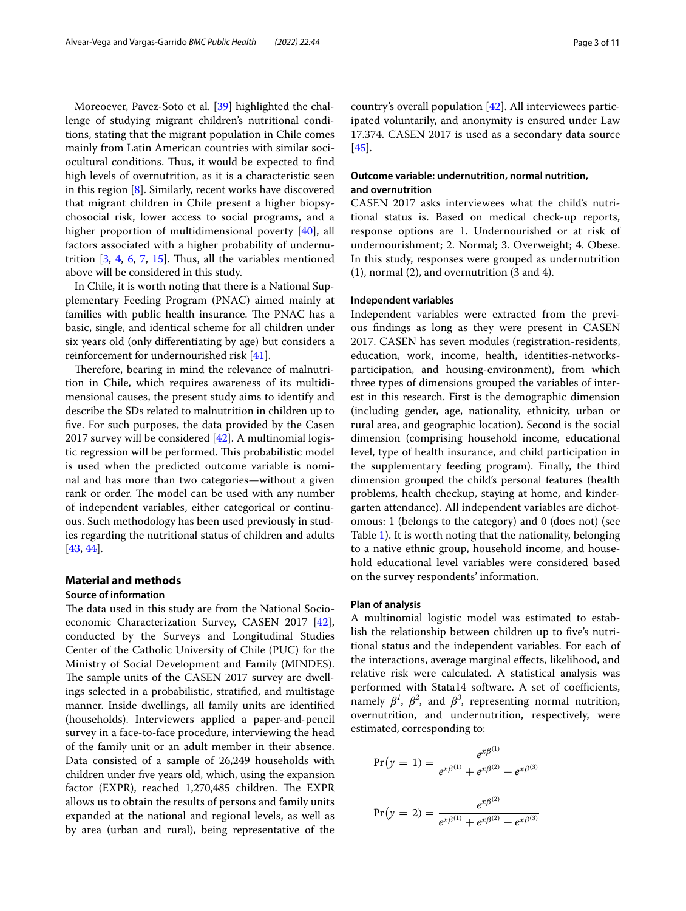Moreoever, Pavez-Soto et al. [[39](#page-9-27)] highlighted the challenge of studying migrant children's nutritional conditions, stating that the migrant population in Chile comes mainly from Latin American countries with similar sociocultural conditions. Thus, it would be expected to find high levels of overnutrition, as it is a characteristic seen in this region [[8\]](#page-8-6). Similarly, recent works have discovered that migrant children in Chile present a higher biopsychosocial risk, lower access to social programs, and a higher proportion of multidimensional poverty [[40\]](#page-9-28), all factors associated with a higher probability of undernutrition  $[3, 4, 6, 7, 15]$  $[3, 4, 6, 7, 15]$  $[3, 4, 6, 7, 15]$  $[3, 4, 6, 7, 15]$  $[3, 4, 6, 7, 15]$  $[3, 4, 6, 7, 15]$  $[3, 4, 6, 7, 15]$  $[3, 4, 6, 7, 15]$  $[3, 4, 6, 7, 15]$  $[3, 4, 6, 7, 15]$  $[3, 4, 6, 7, 15]$ . Thus, all the variables mentioned above will be considered in this study.

In Chile, it is worth noting that there is a National Supplementary Feeding Program (PNAC) aimed mainly at families with public health insurance. The PNAC has a basic, single, and identical scheme for all children under six years old (only diferentiating by age) but considers a reinforcement for undernourished risk [[41\]](#page-9-29).

Therefore, bearing in mind the relevance of malnutrition in Chile, which requires awareness of its multidimensional causes, the present study aims to identify and describe the SDs related to malnutrition in children up to fve. For such purposes, the data provided by the Casen 2017 survey will be considered [[42\]](#page-9-30). A multinomial logistic regression will be performed. This probabilistic model is used when the predicted outcome variable is nominal and has more than two categories—without a given rank or order. The model can be used with any number of independent variables, either categorical or continuous. Such methodology has been used previously in studies regarding the nutritional status of children and adults [[43,](#page-9-31) [44](#page-9-32)].

# **Material and methods**

## **Source of information**

The data used in this study are from the National Socioeconomic Characterization Survey, CASEN 2017 [\[42](#page-9-30)], conducted by the Surveys and Longitudinal Studies Center of the Catholic University of Chile (PUC) for the Ministry of Social Development and Family (MINDES). The sample units of the CASEN 2017 survey are dwellings selected in a probabilistic, stratifed, and multistage manner. Inside dwellings, all family units are identifed (households). Interviewers applied a paper-and-pencil survey in a face-to-face procedure, interviewing the head of the family unit or an adult member in their absence. Data consisted of a sample of 26,249 households with children under fve years old, which, using the expansion factor (EXPR), reached  $1,270,485$  children. The EXPR allows us to obtain the results of persons and family units expanded at the national and regional levels, as well as by area (urban and rural), being representative of the country's overall population [[42\]](#page-9-30). All interviewees participated voluntarily, and anonymity is ensured under Law 17.374. CASEN 2017 is used as a secondary data source [[45\]](#page-10-0).

# **Outcome variable: undernutrition, normal nutrition, and overnutrition**

CASEN 2017 asks interviewees what the child's nutritional status is. Based on medical check-up reports, response options are 1. Undernourished or at risk of undernourishment; 2. Normal; 3. Overweight; 4. Obese. In this study, responses were grouped as undernutrition (1), normal (2), and overnutrition (3 and 4).

## **Independent variables**

Independent variables were extracted from the previous fndings as long as they were present in CASEN 2017. CASEN has seven modules (registration-residents, education, work, income, health, identities-networksparticipation, and housing-environment), from which three types of dimensions grouped the variables of interest in this research. First is the demographic dimension (including gender, age, nationality, ethnicity, urban or rural area, and geographic location). Second is the social dimension (comprising household income, educational level, type of health insurance, and child participation in the supplementary feeding program). Finally, the third dimension grouped the child's personal features (health problems, health checkup, staying at home, and kindergarten attendance). All independent variables are dichotomous: 1 (belongs to the category) and 0 (does not) (see Table [1](#page-3-0)). It is worth noting that the nationality, belonging to a native ethnic group, household income, and household educational level variables were considered based on the survey respondents' information.

#### **Plan of analysis**

A multinomial logistic model was estimated to establish the relationship between children up to five's nutritional status and the independent variables. For each of the interactions, average marginal efects, likelihood, and relative risk were calculated. A statistical analysis was performed with Stata14 software. A set of coefficients, namely  $\beta^1$ ,  $\beta^2$ , and  $\beta^3$ , representing normal nutrition, overnutrition, and undernutrition, respectively, were estimated, corresponding to:

$$
Pr(y = 1) = \frac{e^{x\beta^{(1)}}}{e^{x\beta^{(1)}} + e^{x\beta^{(2)}} + e^{x\beta^{(3)}}}
$$

$$
Pr(y = 2) = \frac{e^{x\beta^{(2)}}}{e^{x\beta^{(1)}} + e^{x\beta^{(2)}} + e^{x\beta^{(3)}}}
$$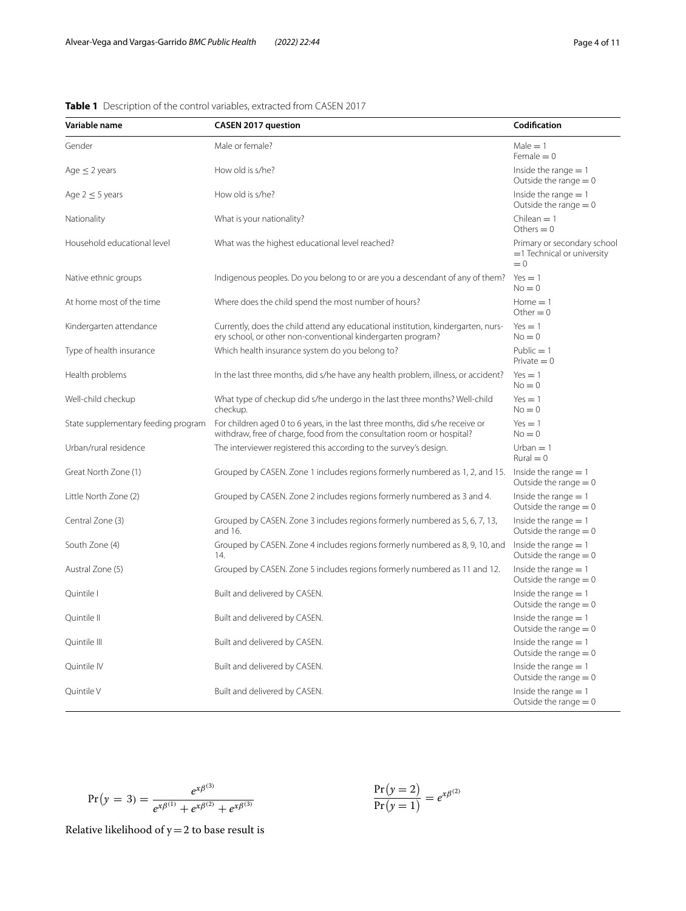| Variable name                       | <b>CASEN 2017 question</b>                                                                                                                              | Codification                                                          |
|-------------------------------------|---------------------------------------------------------------------------------------------------------------------------------------------------------|-----------------------------------------------------------------------|
| Gender                              | Male or female?                                                                                                                                         | $Male = 1$<br>$Female = 0$                                            |
| Age $\leq$ 2 years                  | How old is s/he?                                                                                                                                        | Inside the range $= 1$<br>Outside the range $= 0$                     |
| Age $2 \leq 5$ years                | How old is s/he?                                                                                                                                        | Inside the range $= 1$<br>Outside the range $= 0$                     |
| Nationality                         | What is your nationality?                                                                                                                               | Chilean $= 1$<br>Others $= 0$                                         |
| Household educational level         | What was the highest educational level reached?                                                                                                         | Primary or secondary school<br>$=$ 1 Technical or university<br>$= 0$ |
| Native ethnic groups                | Indigenous peoples. Do you belong to or are you a descendant of any of them?                                                                            | $Yes = 1$<br>$No = 0$                                                 |
| At home most of the time            | Where does the child spend the most number of hours?                                                                                                    | $Home = 1$<br>Other $= 0$                                             |
| Kindergarten attendance             | Currently, does the child attend any educational institution, kindergarten, nurs-<br>ery school, or other non-conventional kindergarten program?        | $Yes = 1$<br>$No = 0$                                                 |
| Type of health insurance            | Which health insurance system do you belong to?                                                                                                         | Public $= 1$<br>$Private = 0$                                         |
| Health problems                     | In the last three months, did s/he have any health problem, illness, or accident?                                                                       | $Yes = 1$<br>$No = 0$                                                 |
| Well-child checkup                  | What type of checkup did s/he undergo in the last three months? Well-child<br>checkup.                                                                  | $Yes = 1$<br>$No = 0$                                                 |
| State supplementary feeding program | For children aged 0 to 6 years, in the last three months, did s/he receive or<br>withdraw, free of charge, food from the consultation room or hospital? | $Yes = 1$<br>$No = 0$                                                 |
| Urban/rural residence               | The interviewer registered this according to the survey's design.                                                                                       | $Urban = 1$<br>$Rural = 0$                                            |
| Great North Zone (1)                | Grouped by CASEN. Zone 1 includes regions formerly numbered as 1, 2, and 15.                                                                            | Inside the range $= 1$<br>Outside the range $= 0$                     |
| Little North Zone (2)               | Grouped by CASEN. Zone 2 includes regions formerly numbered as 3 and 4.                                                                                 | Inside the range $= 1$<br>Outside the range $= 0$                     |
| Central Zone (3)                    | Grouped by CASEN. Zone 3 includes regions formerly numbered as 5, 6, 7, 13,<br>and 16.                                                                  | Inside the range $= 1$<br>Outside the range $= 0$                     |
| South Zone (4)                      | Grouped by CASEN. Zone 4 includes regions formerly numbered as 8, 9, 10, and<br>14.                                                                     | Inside the range $= 1$<br>Outside the range $= 0$                     |
| Austral Zone (5)                    | Grouped by CASEN. Zone 5 includes regions formerly numbered as 11 and 12.                                                                               | Inside the range $= 1$<br>Outside the range $= 0$                     |
| Quintile I                          | Built and delivered by CASEN.                                                                                                                           | Inside the range $= 1$<br>Outside the range $= 0$                     |
| Quintile II                         | Built and delivered by CASEN.                                                                                                                           | Inside the range $= 1$<br>Outside the range $= 0$                     |
| Quintile III                        | Built and delivered by CASEN.                                                                                                                           | Inside the range $= 1$<br>Outside the range $= 0$                     |
| Quintile IV                         | Built and delivered by CASEN.                                                                                                                           | Inside the range $= 1$<br>Outside the range $= 0$                     |
| Quintile V                          | Built and delivered by CASEN.                                                                                                                           | Inside the range $= 1$<br>Outside the range $= 0$                     |

# <span id="page-3-0"></span>**Table 1** Description of the control variables, extracted from CASEN 2017

$$
Pr(y = 3) = \frac{e^{x\beta^{(3)}}}{e^{x\beta^{(1)}} + e^{x\beta^{(2)}} + e^{x\beta^{(3)}}}
$$

 $Pr(y = 2)$  $\frac{\Pr(y = 2)}{\Pr(y = 1)} = e^{x\beta^{(2)}}$ 

Relative likelihood of  $y=2$  to base result is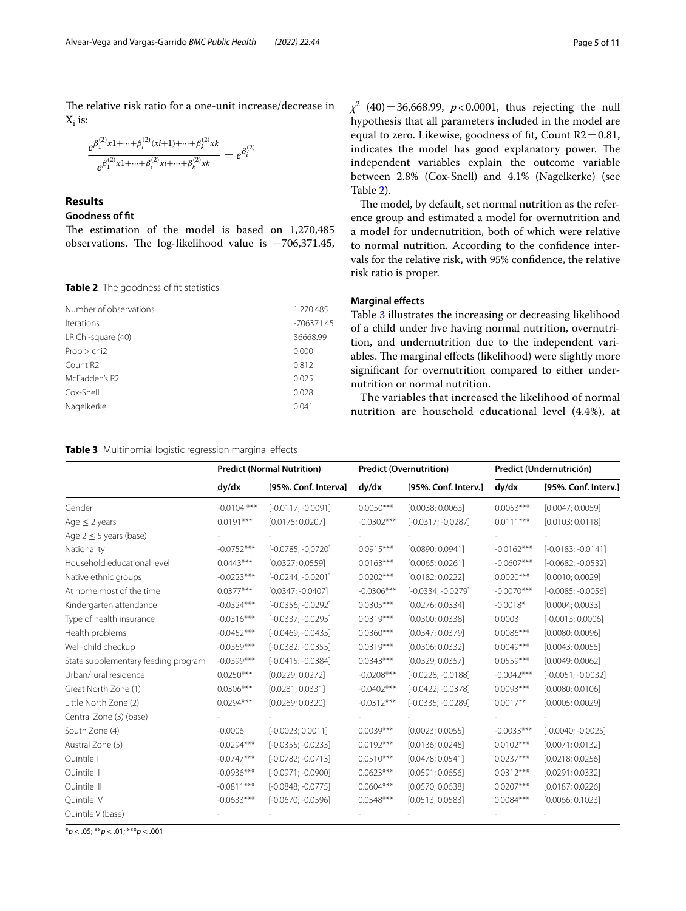The relative risk ratio for a one-unit increase/decrease in  $X_i$  is:

$$
\frac{e^{\beta_1^{(2)}x_1+\cdots+\beta_i^{(2)}(xi_1+1)+\cdots+\beta_k^{(2)}x_k}}{e^{\beta_1^{(2)}x_1+\cdots+\beta_i^{(2)}x_i+\cdots+\beta_k^{(2)}x_k}}=e^{\beta_i^{(2)}}
$$

# **Results**

## **Goodness of ft**

The estimation of the model is based on  $1,270,485$ observations. The log-likelihood value is -706,371.45,

<span id="page-4-0"></span>**Table 2** The goodness of fit statistics

| Number of observations | 1.270.485    |
|------------------------|--------------|
| <b>Iterations</b>      | $-706371.45$ |
| LR Chi-square (40)     | 36668.99     |
| Prob > chi2            | 0.000        |
| Count R <sub>2</sub>   | 0.812        |
| McFadden's R2          | 0.025        |
| Cox-Snell              | 0.028        |
| Nagelkerke             | 0.041        |
|                        |              |

<span id="page-4-1"></span>

|  | Table 3 Multinomial logistic regression marginal effects |  |  |  |  |
|--|----------------------------------------------------------|--|--|--|--|
|--|----------------------------------------------------------|--|--|--|--|

*χ*<sup>2</sup> (40) = 36,668.99, *p*<0.0001, thus rejecting the null hypothesis that all parameters included in the model are equal to zero. Likewise, goodness of fit, Count  $R2=0.81$ , indicates the model has good explanatory power. The independent variables explain the outcome variable between 2.8% (Cox-Snell) and 4.1% (Nagelkerke) (see Table [2](#page-4-0)).

The model, by default, set normal nutrition as the reference group and estimated a model for overnutrition and a model for undernutrition, both of which were relative to normal nutrition. According to the confdence intervals for the relative risk, with 95% confdence, the relative risk ratio is proper.

# **Marginal efects**

Table [3](#page-4-1) illustrates the increasing or decreasing likelihood of a child under fve having normal nutrition, overnutrition, and undernutrition due to the independent variables. The marginal effects (likelihood) were slightly more signifcant for overnutrition compared to either undernutrition or normal nutrition.

The variables that increased the likelihood of normal nutrition are household educational level (4.4%), at

|                                     | <b>Predict (Normal Nutrition)</b> |                      | <b>Predict (Overnutrition)</b> |                      | Predict (Undernutrición) |                      |
|-------------------------------------|-----------------------------------|----------------------|--------------------------------|----------------------|--------------------------|----------------------|
|                                     | dy/dx                             | [95%. Conf. Interva] | dy/dx                          | [95%. Conf. Interv.] | dy/dx                    | [95%. Conf. Interv.] |
| Gender                              | $-0.0104$ ***                     | $[-0.0117; -0.0091]$ | $0.0050***$                    | [0.0038; 0.0063]     | $0.0053***$              | [0.0047; 0.0059]     |
| Age $\leq$ 2 years                  | $0.0191***$                       | [0.0175; 0.0207]     | $-0.0302***$                   | $[-0.0317; -0.0287]$ | $0.0111***$              | [0.0103; 0.0118]     |
| Age $2 \leq 5$ years (base)         |                                   |                      |                                |                      |                          |                      |
| Nationality                         | $-0.0752***$                      | $[-0.0785; -0.0720]$ | $0.0915***$                    | [0.0890; 0.0941]     | $-0.0162***$             | $[-0.0183; -0.0141]$ |
| Household educational level         | $0.0443***$                       | [0.0327; 0.0559]     | $0.0163***$                    | [0.0065; 0.0261]     | $-0.0607***$             | $[-0.0682; -0.0532]$ |
| Native ethnic groups                | $-0.0223***$                      | $[-0.0244; -0.0201]$ | $0.0202***$                    | [0.0182; 0.0222]     | $0.0020***$              | [0.0010; 0.0029]     |
| At home most of the time            | $0.0377***$                       | $[0.0347; -0.0407]$  | $-0.0306***$                   | $[-0.0334; -0.0279]$ | $-0.0070***$             | $[-0.0085; -0.0056]$ |
| Kindergarten attendance             | $-0.0324***$                      | $[-0.0356; -0.0292]$ | $0.0305***$                    | [0.0276; 0.0334]     | $-0.0018*$               | [0.0004; 0.0033]     |
| Type of health insurance            | $-0.0316***$                      | $[-0.0337; -0.0295]$ | $0.0319***$                    | [0.0300; 0.0338]     | 0.0003                   | $[-0.0013; 0.0006]$  |
| Health problems                     | $-0.0452***$                      | $[-0.0469; -0.0435]$ | $0.0360***$                    | [0.0347; 0.0379]     | $0.0086***$              | [0.0080; 0.0096]     |
| Well-child checkup                  | $-0.0369***$                      | $[-0.0382: -0.0355]$ | $0.0319***$                    | [0.0306; 0.0332]     | $0.0049***$              | [0.0043; 0.0055]     |
| State supplementary feeding program | $-0.0399***$                      | $[-0.0415: -0.0384]$ | $0.0343***$                    | [0.0329; 0.0357]     | $0.0559***$              | [0.0049; 0.0062]     |
| Urban/rural residence               | $0.0250***$                       | [0.0229; 0.0272]     | $-0.0208***$                   | $[-0.0228; -0.0188]$ | $-0.0042***$             | $[-0.0051; -0.0032]$ |
| Great North Zone (1)                | $0.0306***$                       | [0.0281; 0.0331]     | $-0.0402***$                   | $[-0.0422; -0.0378]$ | $0.0093***$              | [0.0080; 0.0106]     |
| Little North Zone (2)               | $0.0294***$                       | [0.0269; 0.0320]     | $-0.0312***$                   | $[-0.0335; -0.0289]$ | $0.0017**$               | [0.0005; 0.0029]     |
| Central Zone (3) (base)             |                                   |                      |                                |                      |                          |                      |
| South Zone (4)                      | $-0.0006$                         | $[-0.0023; 0.0011]$  | $0.0039***$                    | [0.0023; 0.0055]     | $-0.0033***$             | $[-0.0040; -0.0025]$ |
| Austral Zone (5)                    | $-0.0294***$                      | $[-0.0355; -0.0233]$ | $0.0192***$                    | [0.0136; 0.0248]     | $0.0102***$              | [0.0071; 0.0132]     |
| Quintile I                          | $-0.0747***$                      | $[-0.0782; -0.0713]$ | $0.0510***$                    | [0.0478; 0.0541]     | $0.0237***$              | [0.0218; 0.0256]     |
| Quintile II                         | $-0.0936***$                      | $[-0.0971; -0.0900]$ | $0.0623***$                    | [0.0591; 0.0656]     | $0.0312***$              | [0.0291; 0.0332]     |
| Quintile III                        | $-0.0811***$                      | $[-0.0848; -0.0775]$ | $0.0604***$                    | [0.0570; 0.0638]     | $0.0207***$              | [0.0187; 0.0226]     |
| Quintile IV                         | $-0.0633***$                      | $[-0.0670; -0.0596]$ | $0.0548***$                    | [0.0513; 0.0583]     | $0.0084***$              | [0.0066; 0.1023]     |
| Quintile V (base)                   |                                   |                      |                                |                      |                          |                      |

\**p* < .05; \*\**p* < .01; \*\*\**p* < .001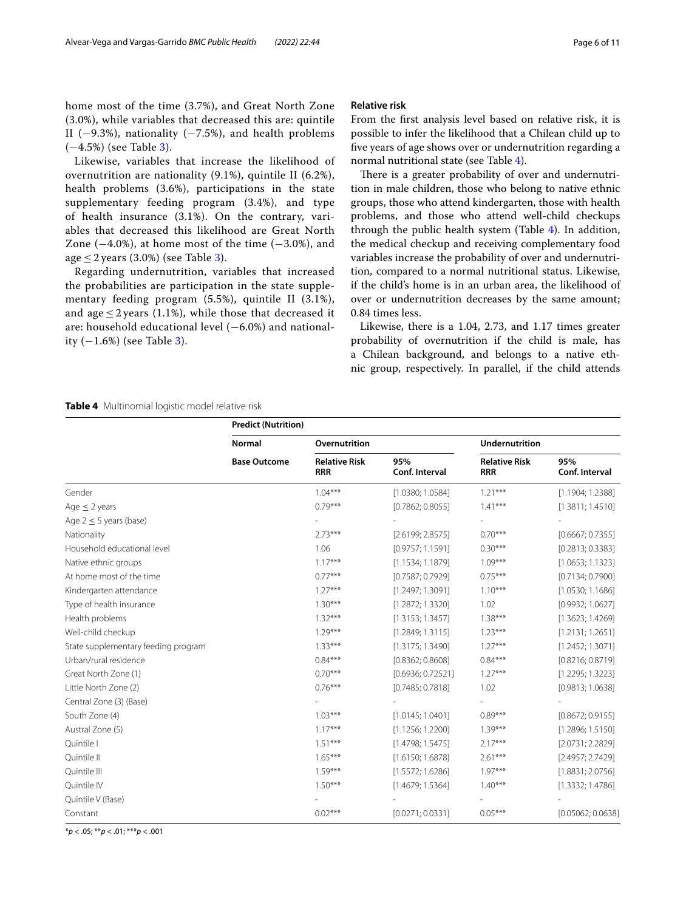home most of the time (3.7%), and Great North Zone (3.0%), while variables that decreased this are: quintile II ( $-9.3\%$ ), nationality ( $-7.5\%$ ), and health problems (−4.5%) (see Table [3\)](#page-4-1).

Likewise, variables that increase the likelihood of overnutrition are nationality (9.1%), quintile II (6.2%), health problems (3.6%), participations in the state supplementary feeding program (3.4%), and type of health insurance (3.1%). On the contrary, variables that decreased this likelihood are Great North Zone  $(-4.0\%)$ , at home most of the time  $(-3.0\%)$ , and age  $\leq$  2 years (3.0%) (see Table [3\)](#page-4-1).

Regarding undernutrition, variables that increased the probabilities are participation in the state supplementary feeding program (5.5%), quintile II (3.1%), and age  $\leq$  2 years (1.1%), while those that decreased it are: household educational level (−6.0%) and nationality  $(-1.6%)$  (see Table [3](#page-4-1)).

### **Relative risk**

From the frst analysis level based on relative risk, it is possible to infer the likelihood that a Chilean child up to fve years of age shows over or undernutrition regarding a normal nutritional state (see Table [4](#page-5-0)).

There is a greater probability of over and undernutrition in male children, those who belong to native ethnic groups, those who attend kindergarten, those with health problems, and those who attend well-child checkups through the public health system (Table [4](#page-5-0)). In addition, the medical checkup and receiving complementary food variables increase the probability of over and undernutrition, compared to a normal nutritional status. Likewise, if the child's home is in an urban area, the likelihood of over or undernutrition decreases by the same amount; 0.84 times less.

Likewise, there is a 1.04, 2.73, and 1.17 times greater probability of overnutrition if the child is male, has a Chilean background, and belongs to a native ethnic group, respectively. In parallel, if the child attends

#### <span id="page-5-0"></span>**Table 4** Multinomial logistic model relative risk

|                                     | <b>Predict (Nutrition)</b> |                                    |                       |                                    |                       |  |
|-------------------------------------|----------------------------|------------------------------------|-----------------------|------------------------------------|-----------------------|--|
|                                     | <b>Normal</b>              | Overnutrition                      |                       | Undernutrition                     |                       |  |
|                                     | <b>Base Outcome</b>        | <b>Relative Risk</b><br><b>RRR</b> | 95%<br>Conf. Interval | <b>Relative Risk</b><br><b>RRR</b> | 95%<br>Conf. Interval |  |
| Gender                              |                            | $1.04***$                          | [1.0380; 1.0584]      | $1.21***$                          | [1.1904; 1.2388]      |  |
| Age $\leq$ 2 years                  |                            | $0.79***$                          | [0.7862; 0.8055]      | $1.41***$                          | [1.3811; 1.4510]      |  |
| Age $2 \leq 5$ years (base)         |                            |                                    |                       |                                    |                       |  |
| Nationality                         |                            | $2.73***$                          | [2.6199; 2.8575]      | $0.70***$                          | [0.6667; 0.7355]      |  |
| Household educational level         |                            | 1.06                               | [0.9757; 1.1591]      | $0.30***$                          | [0.2813; 0.3383]      |  |
| Native ethnic groups                |                            | $1.17***$                          | [1.1534; 1.1879]      | $1.09***$                          | [1.0653; 1.1323]      |  |
| At home most of the time            |                            | $0.77***$                          | [0.7587; 0.7929]      | $0.75***$                          | [0.7134; 0.7900]      |  |
| Kindergarten attendance             |                            | $1.27***$                          | [1.2497; 1.3091]      | $1.10***$                          | [1.0530; 1.1686]      |  |
| Type of health insurance            |                            | $1.30***$                          | [1.2872; 1.3320]      | 1.02                               | [0.9932; 1.0627]      |  |
| Health problems                     |                            | $1.32***$                          | [1.3153; 1.3457]      | $1.38***$                          | [1.3623; 1.4269]      |  |
| Well-child checkup                  |                            | $1.29***$                          | [1.2849; 1.3115]      | $1.23***$                          | [1.2131; 1.2651]      |  |
| State supplementary feeding program |                            | $1.33***$                          | [1.3175; 1.3490]      | $1.27***$                          | [1.2452; 1.3071]      |  |
| Urban/rural residence               |                            | $0.84***$                          | [0.8362; 0.8608]      | $0.84***$                          | [0.8216; 0.8719]      |  |
| Great North Zone (1)                |                            | $0.70***$                          | [0.6936; 0.72521]     | $1.27***$                          | [1.2295; 1.3223]      |  |
| Little North Zone (2)               |                            | $0.76***$                          | [0.7485; 0.7818]      | 1.02                               | [0.9813; 1.0638]      |  |
| Central Zone (3) (Base)             |                            |                                    |                       |                                    |                       |  |
| South Zone (4)                      |                            | $1.03***$                          | [1.0145; 1.0401]      | $0.89***$                          | [0.8672; 0.9155]      |  |
| Austral Zone (5)                    |                            | $1.17***$                          | [1.1256; 1.2200]      | $1.39***$                          | [1.2896; 1.5150]      |  |
| Quintile I                          |                            | $1.51***$                          | [1.4798; 1.5475]      | $2.17***$                          | [2.0731; 2.2829]      |  |
| Quintile II                         |                            | $1.65***$                          | [1.6150; 1.6878]      | $2.61***$                          | [2.4957; 2.7429]      |  |
| Quintile III                        |                            | $1.59***$                          | [1.5572; 1.6286]      | $1.97***$                          | [1.8831; 2.0756]      |  |
| Quintile IV                         |                            | $1.50***$                          | [1.4679; 1.5364]      | $1.40***$                          | [1.3332; 1.4786]      |  |
| Quintile V (Base)                   |                            |                                    |                       |                                    |                       |  |
| Constant                            |                            | $0.02***$                          | [0.0271; 0.0331]      | $0.05***$                          | [0.05062; 0.0638]     |  |

\**p* < .05; \*\**p* < .01; \*\*\**p* < .001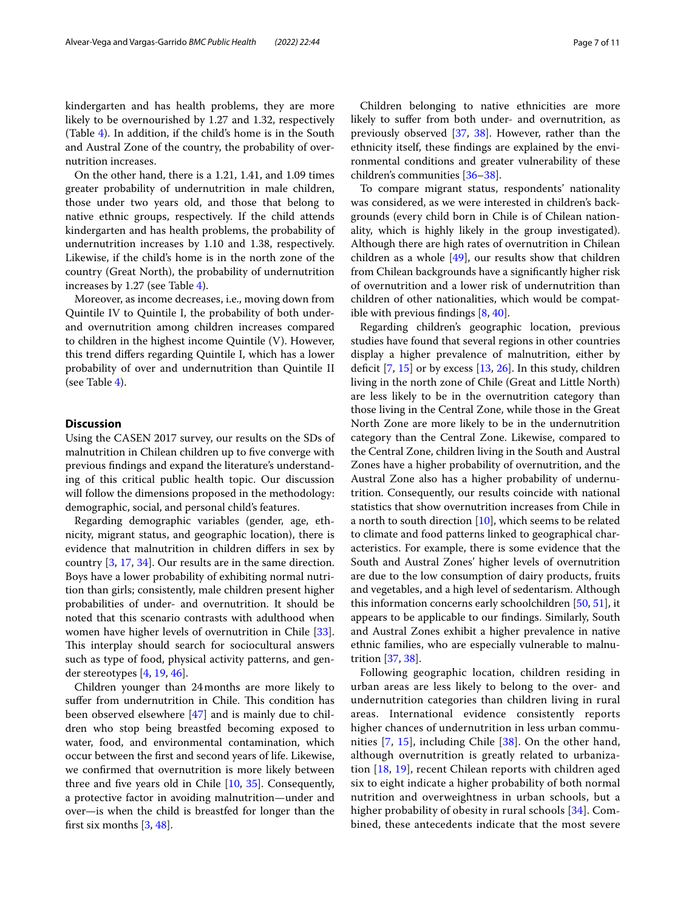kindergarten and has health problems, they are more likely to be overnourished by 1.27 and 1.32, respectively (Table [4](#page-5-0)). In addition, if the child's home is in the South and Austral Zone of the country, the probability of overnutrition increases.

On the other hand, there is a 1.21, 1.41, and 1.09 times greater probability of undernutrition in male children, those under two years old, and those that belong to native ethnic groups, respectively. If the child attends kindergarten and has health problems, the probability of undernutrition increases by 1.10 and 1.38, respectively. Likewise, if the child's home is in the north zone of the country (Great North), the probability of undernutrition increases by 1.27 (see Table [4\)](#page-5-0).

Moreover, as income decreases, i.e., moving down from Quintile IV to Quintile I, the probability of both underand overnutrition among children increases compared to children in the highest income Quintile (V). However, this trend difers regarding Quintile I, which has a lower probability of over and undernutrition than Quintile II (see Table [4\)](#page-5-0).

#### **Discussion**

Using the CASEN 2017 survey, our results on the SDs of malnutrition in Chilean children up to five converge with previous fndings and expand the literature's understanding of this critical public health topic. Our discussion will follow the dimensions proposed in the methodology: demographic, social, and personal child's features.

Regarding demographic variables (gender, age, ethnicity, migrant status, and geographic location), there is evidence that malnutrition in children difers in sex by country [[3](#page-8-2), [17](#page-9-6), [34\]](#page-9-22). Our results are in the same direction. Boys have a lower probability of exhibiting normal nutrition than girls; consistently, male children present higher probabilities of under- and overnutrition. It should be noted that this scenario contrasts with adulthood when women have higher levels of overnutrition in Chile [\[33](#page-9-21)]. This interplay should search for sociocultural answers such as type of food, physical activity patterns, and gender stereotypes [\[4](#page-8-8), [19,](#page-9-8) [46](#page-10-1)].

Children younger than 24months are more likely to suffer from undernutrition in Chile. This condition has been observed elsewhere [[47\]](#page-10-2) and is mainly due to children who stop being breastfed becoming exposed to water, food, and environmental contamination, which occur between the frst and second years of life. Likewise, we confrmed that overnutrition is more likely between three and fve years old in Chile [\[10](#page-8-9), [35\]](#page-9-23). Consequently, a protective factor in avoiding malnutrition—under and over—is when the child is breastfed for longer than the first six months  $[3, 48]$  $[3, 48]$  $[3, 48]$  $[3, 48]$ .

Children belonging to native ethnicities are more likely to sufer from both under- and overnutrition, as previously observed [[37](#page-9-25), [38\]](#page-9-26). However, rather than the ethnicity itself, these fndings are explained by the environmental conditions and greater vulnerability of these children's communities [[36–](#page-9-24)[38](#page-9-26)].

To compare migrant status, respondents' nationality was considered, as we were interested in children's backgrounds (every child born in Chile is of Chilean nationality, which is highly likely in the group investigated). Although there are high rates of overnutrition in Chilean children as a whole [\[49\]](#page-10-4), our results show that children from Chilean backgrounds have a signifcantly higher risk of overnutrition and a lower risk of undernutrition than children of other nationalities, which would be compatible with previous fndings [\[8](#page-8-6), [40](#page-9-28)].

Regarding children's geographic location, previous studies have found that several regions in other countries display a higher prevalence of malnutrition, either by deficit  $[7, 15]$  $[7, 15]$  $[7, 15]$  or by excess  $[13, 26]$  $[13, 26]$  $[13, 26]$  $[13, 26]$  $[13, 26]$ . In this study, children living in the north zone of Chile (Great and Little North) are less likely to be in the overnutrition category than those living in the Central Zone, while those in the Great North Zone are more likely to be in the undernutrition category than the Central Zone. Likewise, compared to the Central Zone, children living in the South and Austral Zones have a higher probability of overnutrition, and the Austral Zone also has a higher probability of undernutrition. Consequently, our results coincide with national statistics that show overnutrition increases from Chile in a north to south direction [[10\]](#page-8-9), which seems to be related to climate and food patterns linked to geographical characteristics. For example, there is some evidence that the South and Austral Zones' higher levels of overnutrition are due to the low consumption of dairy products, fruits and vegetables, and a high level of sedentarism. Although this information concerns early schoolchildren [[50,](#page-10-5) [51\]](#page-10-6), it appears to be applicable to our fndings. Similarly, South and Austral Zones exhibit a higher prevalence in native ethnic families, who are especially vulnerable to malnutrition [\[37](#page-9-25), [38\]](#page-9-26).

Following geographic location, children residing in urban areas are less likely to belong to the over- and undernutrition categories than children living in rural areas. International evidence consistently reports higher chances of undernutrition in less urban communities [\[7,](#page-8-5) [15](#page-9-4)], including Chile [[38\]](#page-9-26). On the other hand, although overnutrition is greatly related to urbanization [[18,](#page-9-7) [19](#page-9-8)], recent Chilean reports with children aged six to eight indicate a higher probability of both normal nutrition and overweightness in urban schools, but a higher probability of obesity in rural schools [\[34](#page-9-22)]. Combined, these antecedents indicate that the most severe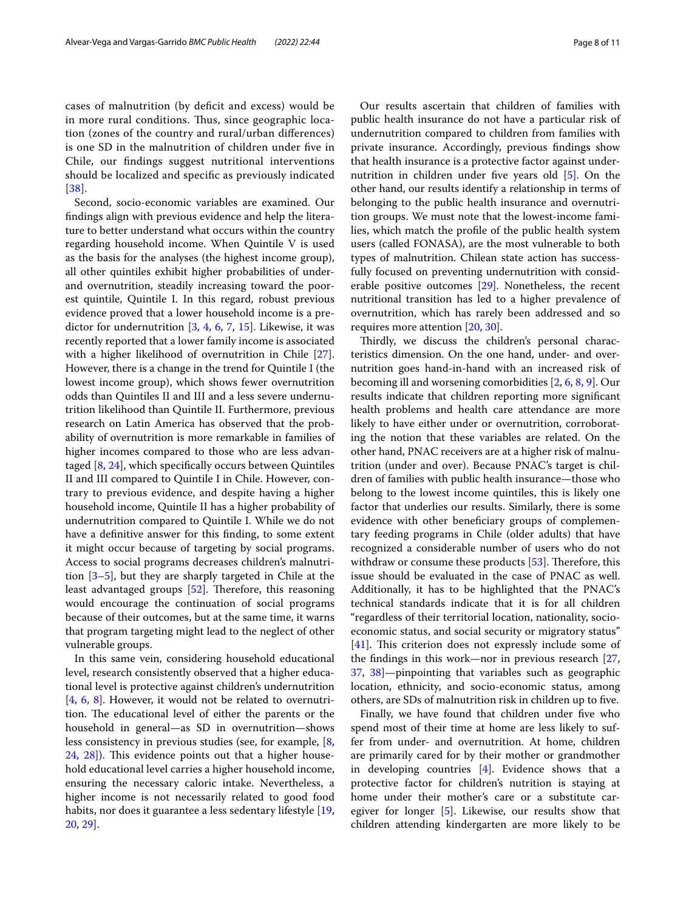cases of malnutrition (by deficit and excess) would be in more rural conditions. Thus, since geographic location (zones of the country and rural/urban diferences) is one SD in the malnutrition of children under fve in Chile, our fndings suggest nutritional interventions should be localized and specifc as previously indicated [[38](#page-9-26)].

Second, socio-economic variables are examined. Our fndings align with previous evidence and help the literature to better understand what occurs within the country regarding household income. When Quintile V is used as the basis for the analyses (the highest income group), all other quintiles exhibit higher probabilities of underand overnutrition, steadily increasing toward the poorest quintile, Quintile I. In this regard, robust previous evidence proved that a lower household income is a predictor for undernutrition  $[3, 4, 6, 7, 15]$  $[3, 4, 6, 7, 15]$  $[3, 4, 6, 7, 15]$  $[3, 4, 6, 7, 15]$  $[3, 4, 6, 7, 15]$  $[3, 4, 6, 7, 15]$  $[3, 4, 6, 7, 15]$  $[3, 4, 6, 7, 15]$  $[3, 4, 6, 7, 15]$ . Likewise, it was recently reported that a lower family income is associated with a higher likelihood of overnutrition in Chile [\[27](#page-9-15)]. However, there is a change in the trend for Quintile I (the lowest income group), which shows fewer overnutrition odds than Quintiles II and III and a less severe undernutrition likelihood than Quintile II. Furthermore, previous research on Latin America has observed that the probability of overnutrition is more remarkable in families of higher incomes compared to those who are less advantaged [[8,](#page-8-6) [24](#page-9-13)], which specifcally occurs between Quintiles II and III compared to Quintile I in Chile. However, contrary to previous evidence, and despite having a higher household income, Quintile II has a higher probability of undernutrition compared to Quintile I. While we do not have a defnitive answer for this fnding, to some extent it might occur because of targeting by social programs. Access to social programs decreases children's malnutrition [[3–](#page-8-2)[5\]](#page-8-3), but they are sharply targeted in Chile at the least advantaged groups [[52\]](#page-10-7). Therefore, this reasoning would encourage the continuation of social programs because of their outcomes, but at the same time, it warns that program targeting might lead to the neglect of other vulnerable groups.

In this same vein, considering household educational level, research consistently observed that a higher educational level is protective against children's undernutrition [[4,](#page-8-8) [6](#page-8-4), [8\]](#page-8-6). However, it would not be related to overnutrition. The educational level of either the parents or the household in general—as SD in overnutrition—shows less consistency in previous studies (see, for example, [\[8](#page-8-6), [24,](#page-9-13) [28\]](#page-9-16)). This evidence points out that a higher household educational level carries a higher household income, ensuring the necessary caloric intake. Nevertheless, a higher income is not necessarily related to good food habits, nor does it guarantee a less sedentary lifestyle [\[19](#page-9-8), [20,](#page-9-9) [29\]](#page-9-17).

Our results ascertain that children of families with public health insurance do not have a particular risk of undernutrition compared to children from families with private insurance. Accordingly, previous fndings show that health insurance is a protective factor against undernutrition in children under fve years old [[5](#page-8-3)]. On the other hand, our results identify a relationship in terms of belonging to the public health insurance and overnutrition groups. We must note that the lowest-income fami-

lies, which match the profle of the public health system users (called FONASA), are the most vulnerable to both types of malnutrition. Chilean state action has successfully focused on preventing undernutrition with considerable positive outcomes [\[29\]](#page-9-17). Nonetheless, the recent nutritional transition has led to a higher prevalence of overnutrition, which has rarely been addressed and so requires more attention [[20,](#page-9-9) [30](#page-9-18)].

Thirdly, we discuss the children's personal characteristics dimension. On the one hand, under- and overnutrition goes hand-in-hand with an increased risk of becoming ill and worsening comorbidities [\[2](#page-8-1), [6](#page-8-4), [8,](#page-8-6) [9](#page-8-7)]. Our results indicate that children reporting more signifcant health problems and health care attendance are more likely to have either under or overnutrition, corroborating the notion that these variables are related. On the other hand, PNAC receivers are at a higher risk of malnutrition (under and over). Because PNAC's target is children of families with public health insurance—those who belong to the lowest income quintiles, this is likely one factor that underlies our results. Similarly, there is some evidence with other benefciary groups of complementary feeding programs in Chile (older adults) that have recognized a considerable number of users who do not withdraw or consume these products  $[53]$  $[53]$ . Therefore, this issue should be evaluated in the case of PNAC as well. Additionally, it has to be highlighted that the PNAC's technical standards indicate that it is for all children "regardless of their territorial location, nationality, socioeconomic status, and social security or migratory status"  $[41]$  $[41]$ . This criterion does not expressly include some of the fndings in this work—nor in previous research [[27](#page-9-15), [37,](#page-9-25) [38](#page-9-26)]—pinpointing that variables such as geographic location, ethnicity, and socio-economic status, among others, are SDs of malnutrition risk in children up to fve.

Finally, we have found that children under five who spend most of their time at home are less likely to suffer from under- and overnutrition. At home, children are primarily cared for by their mother or grandmother in developing countries [\[4\]](#page-8-8). Evidence shows that a protective factor for children's nutrition is staying at home under their mother's care or a substitute caregiver for longer [[5\]](#page-8-3). Likewise, our results show that children attending kindergarten are more likely to be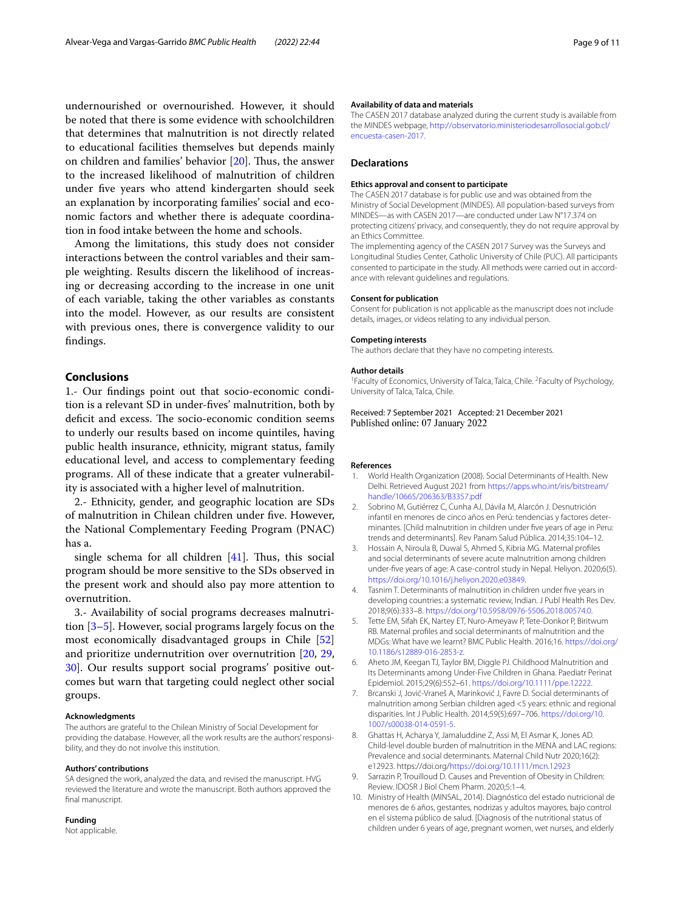undernourished or overnourished. However, it should be noted that there is some evidence with schoolchildren that determines that malnutrition is not directly related to educational facilities themselves but depends mainly on children and families' behavior  $[20]$  $[20]$  $[20]$ . Thus, the answer to the increased likelihood of malnutrition of children under fve years who attend kindergarten should seek an explanation by incorporating families' social and economic factors and whether there is adequate coordination in food intake between the home and schools.

Among the limitations, this study does not consider interactions between the control variables and their sample weighting. Results discern the likelihood of increasing or decreasing according to the increase in one unit of each variable, taking the other variables as constants into the model. However, as our results are consistent with previous ones, there is convergence validity to our fndings.

# **Conclusions**

1.- Our fndings point out that socio-economic condition is a relevant SD in under-fves' malnutrition, both by deficit and excess. The socio-economic condition seems to underly our results based on income quintiles, having public health insurance, ethnicity, migrant status, family educational level, and access to complementary feeding programs. All of these indicate that a greater vulnerability is associated with a higher level of malnutrition.

2.- Ethnicity, gender, and geographic location are SDs of malnutrition in Chilean children under fve. However, the National Complementary Feeding Program (PNAC) has a.

single schema for all children  $[41]$  $[41]$  $[41]$ . Thus, this social program should be more sensitive to the SDs observed in the present work and should also pay more attention to overnutrition.

3.- Availability of social programs decreases malnutrition [[3–](#page-8-2)[5\]](#page-8-3). However, social programs largely focus on the most economically disadvantaged groups in Chile [[52](#page-10-7)] and prioritize undernutrition over overnutrition [\[20](#page-9-9), [29](#page-9-17), [30\]](#page-9-18). Our results support social programs' positive outcomes but warn that targeting could neglect other social groups.

#### **Acknowledgments**

The authors are grateful to the Chilean Ministry of Social Development for providing the database. However, all the work results are the authors' responsibility, and they do not involve this institution.

#### **Authors' contributions**

SA designed the work, analyzed the data, and revised the manuscript. HVG reviewed the literature and wrote the manuscript. Both authors approved the final manuscript.

#### **Funding**

Not applicable.

#### **Availability of data and materials**

The CASEN 2017 database analyzed during the current study is available from the MINDES webpage, [http://observatorio.ministeriodesarrollosocial.gob.cl/](http://observatorio.ministeriodesarrollosocial.gob.cl/encuesta-casen-2017) [encuesta-casen-2017](http://observatorio.ministeriodesarrollosocial.gob.cl/encuesta-casen-2017).

#### **Declarations**

#### **Ethics approval and consent to participate**

The CASEN 2017 database is for public use and was obtained from the Ministry of Social Development (MINDES). All population-based surveys from MINDES—as with CASEN 2017—are conducted under Law N°17.374 on protecting citizens' privacy, and consequently, they do not require approval by an Ethics Committee.

The implementing agency of the CASEN 2017 Survey was the Surveys and Longitudinal Studies Center, Catholic University of Chile (PUC). All participants consented to participate in the study. All methods were carried out in accordance with relevant guidelines and regulations.

#### **Consent for publication**

Consent for publication is not applicable as the manuscript does not include details, images, or videos relating to any individual person.

#### **Competing interests**

The authors declare that they have no competing interests.

#### **Author details**

<sup>1</sup> Faculty of Economics, University of Talca, Talca, Chile. <sup>2</sup> Faculty of Psychology, University of Talca, Talca, Chile.

Received: 7 September 2021 Accepted: 21 December 2021 Published online: 07 January 2022

#### **References**

- <span id="page-8-0"></span>1. World Health Organization (2008). Social Determinants of Health. New Delhi. Retrieved August 2021 from [https://apps.who.int/iris/bitstream/](https://apps.who.int/iris/bitstream/handle/10665/206363/B3357.pdf) [handle/10665/206363/B3357.pdf](https://apps.who.int/iris/bitstream/handle/10665/206363/B3357.pdf)
- <span id="page-8-1"></span>2. Sobrino M, Gutiérrez C, Cunha AJ, Dávila M, Alarcón J. Desnutrición infantil en menores de cinco años en Perú: tendencias y factores determinantes. [Child malnutrition in children under fve years of age in Peru: trends and determinants]. Rev Panam Salud Pública. 2014;35:104–12.
- <span id="page-8-2"></span>3. Hossain A, Niroula B, Duwal S, Ahmed S, Kibria MG. Maternal profles and social determinants of severe acute malnutrition among children under-fve years of age: A case-control study in Nepal. Heliyon. 2020;6(5). [https://doi.org/10.1016/j.heliyon.2020.e03849.](https://doi.org/10.1016/j.heliyon.2020.e03849)
- <span id="page-8-8"></span>4. Tasnim T. Determinants of malnutrition in children under fve years in developing countries: a systematic review, Indian. J Publ Health Res Dev. 2018;9(6):333–8. <https://doi.org/10.5958/0976-5506.2018.00574.0>.
- <span id="page-8-3"></span>5. Tette EM, Sifah EK, Nartey ET, Nuro-Ameyaw P, Tete-Donkor P, Biritwum RB. Maternal profles and social determinants of malnutrition and the MDGs: What have we learnt? BMC Public Health. 2016;16. [https://doi.org/](https://doi.org/10.1186/s12889-016-2853-z) [10.1186/s12889-016-2853-z](https://doi.org/10.1186/s12889-016-2853-z).
- <span id="page-8-4"></span>6. Aheto JM, Keegan TJ, Taylor BM, Diggle PJ. Childhood Malnutrition and Its Determinants among Under-Five Children in Ghana. Paediatr Perinat Epidemiol. 2015;29(6):552–61.<https://doi.org/10.1111/ppe.12222>.
- <span id="page-8-5"></span>7. Brcanski J, Jović-Vraneš A, Marinković J, Favre D. Social determinants of malnutrition among Serbian children aged <5 years: ethnic and regional disparities. Int J Public Health. 2014;59(5):697–706. [https://doi.org/10.](https://doi.org/10.1007/s00038-014-0591-5) [1007/s00038-014-0591-5](https://doi.org/10.1007/s00038-014-0591-5).
- <span id="page-8-6"></span>8. Ghattas H, Acharya Y, Jamaluddine Z, Assi M, El Asmar K, Jones AD. Child-level double burden of malnutrition in the MENA and LAC regions: Prevalence and social determinants. Maternal Child Nutr 2020;16(2): e12923. https://doi.org/<https://doi.org/10.1111/mcn.12923>
- <span id="page-8-7"></span>9. Sarrazin P, Trouilloud D. Causes and Prevention of Obesity in Children: Review. IDOSR J Biol Chem Pharm. 2020;5:1–4.
- <span id="page-8-9"></span>10. Ministry of Health (MINSAL, 2014). Diagnóstico del estado nutricional de menores de 6 años, gestantes, nodrizas y adultos mayores, bajo control en el sistema público de salud. [Diagnosis of the nutritional status of children under 6 years of age, pregnant women, wet nurses, and elderly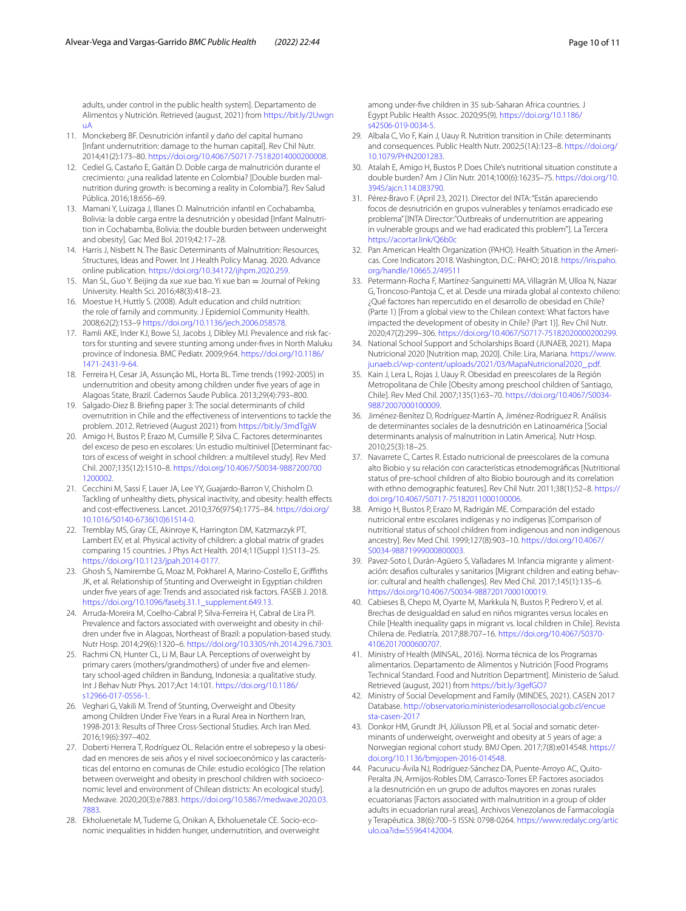adults, under control in the public health system]. Departamento de Alimentos y Nutrición. Retrieved (august, 2021) from [https://bit.ly/2Uwgn](https://bit.ly/2UwgnuA) [uA](https://bit.ly/2UwgnuA)

- <span id="page-9-0"></span>11. Monckeberg BF. Desnutrición infantil y daño del capital humano [Infant undernutrition: damage to the human capital]. Rev Chil Nutr. 2014;41(2):173–80. <https://doi.org/10.4067/S0717-75182014000200008>.
- <span id="page-9-1"></span>12. Cediel G, Castaño E, Gaitán D. Doble carga de malnutrición durante el crecimiento: ¿una realidad latente en Colombia? [Double burden malnutrition during growth: is becoming a reality in Colombia?]. Rev Salud Pública. 2016;18:656–69.
- <span id="page-9-2"></span>13. Mamani Y, Luizaga J, Illanes D. Malnutrición infantil en Cochabamba, Bolivia: la doble carga entre la desnutrición y obesidad [Infant Malnutrition in Cochabamba, Bolivia: the double burden between underweight and obesity]. Gac Med Bol. 2019;42:17–28.
- <span id="page-9-3"></span>14. Harris J, Nisbett N. The Basic Determinants of Malnutrition: Resources, Structures, Ideas and Power. Int J Health Policy Manag. 2020. Advance online publication.<https://doi.org/10.34172/ijhpm.2020.259>.
- <span id="page-9-4"></span>15. Man SL, Guo Y. Beijing da xue xue bao. Yi xue ban = Journal of Peking University. Health Sci. 2016;48(3):418–23.
- <span id="page-9-5"></span>16. Moestue H, Huttly S. (2008). Adult education and child nutrition: the role of family and community. J Epidemiol Community Health. 2008;62(2):153–9 [https://doi.org/10.1136/jech.2006.058578.](https://doi.org/10.1136/jech.2006.058578)
- <span id="page-9-6"></span>17. Ramli AKE, Inder KJ, Bowe SJ, Jacobs J, Dibley MJ. Prevalence and risk factors for stunting and severe stunting among under-fves in North Maluku province of Indonesia. BMC Pediatr. 2009;9:64. [https://doi.org/10.1186/](https://doi.org/10.1186/1471-2431-9-64) [1471-2431-9-64.](https://doi.org/10.1186/1471-2431-9-64)
- <span id="page-9-7"></span>18. Ferreira H, Cesar JA, Assunção ML, Horta BL. Time trends (1992-2005) in undernutrition and obesity among children under fve years of age in Alagoas State, Brazil. Cadernos Saude Publica. 2013;29(4):793–800.
- <span id="page-9-8"></span>19. Salgado-Diez B. Briefng paper 3: The social determinants of child overnutrition in Chile and the efectiveness of interventions to tackle the problem. 2012. Retrieved (August 2021) from<https://bit.ly/3mdTgjW>
- <span id="page-9-9"></span>20. Amigo H, Bustos P, Erazo M, Cumsille P, Silva C. Factores determinantes del exceso de peso en escolares: Un estudio multinivel [Determinant factors of excess of weight in school children: a multilevel study]. Rev Med Chil. 2007;135(12):1510–8. [https://doi.org/10.4067/S0034-9887200700](https://doi.org/10.4067/S0034-98872007001200002) [1200002](https://doi.org/10.4067/S0034-98872007001200002).
- 21. Cecchini M, Sassi F, Lauer JA, Lee YY, Guajardo-Barron V, Chisholm D. Tackling of unhealthy diets, physical inactivity, and obesity: health efects and cost-efectiveness. Lancet. 2010;376(9754):1775–84. [https://doi.org/](https://doi.org/10.1016/S0140-6736(10)61514-0) [10.1016/S0140-6736\(10\)61514-0](https://doi.org/10.1016/S0140-6736(10)61514-0).
- <span id="page-9-10"></span>22. Tremblay MS, Gray CE, Akinroye K, Harrington DM, Katzmarzyk PT, Lambert EV, et al. Physical activity of children: a global matrix of grades comparing 15 countries. J Phys Act Health. 2014;11(Suppl 1):S113–25. [https://doi.org/10.1123/jpah.2014-0177.](https://doi.org/10.1123/jpah.2014-0177)
- <span id="page-9-11"></span>23. Ghosh S, Namirembe G, Moaz M, Pokharel A, Marino-Costello E, Griffiths JK, et al. Relationship of Stunting and Overweight in Egyptian children under fve years of age: Trends and associated risk factors. FASEB J. 2018. [https://doi.org/10.1096/fasebj.31.1\\_supplement.649.13.](https://doi.org/10.1096/fasebj.31.1_supplement.649.13)
- <span id="page-9-13"></span>24. Arruda-Moreira M, Coelho-Cabral P, Silva-Ferreira H, Cabral de Lira PI. Prevalence and factors associated with overweight and obesity in children under fve in Alagoas, Northeast of Brazil: a population-based study. Nutr Hosp. 2014;29(6):1320–6. [https://doi.org/10.3305/nh.2014.29.6.7303.](https://doi.org/10.3305/nh.2014.29.6.7303)
- <span id="page-9-12"></span>25. Rachmi CN, Hunter CL, Li M, Baur LA. Perceptions of overweight by primary carers (mothers/grandmothers) of under five and elementary school-aged children in Bandung, Indonesia: a qualitative study. Int J Behav Nutr Phys. 2017;Act 14:101. [https://doi.org/10.1186/](https://doi.org/10.1186/s12966-017-0556-1) [s12966-017-0556-1.](https://doi.org/10.1186/s12966-017-0556-1)
- <span id="page-9-14"></span>26. Veghari G, Vakili M. Trend of Stunting, Overweight and Obesity among Children Under Five Years in a Rural Area in Northern Iran, 1998-2013: Results of Three Cross-Sectional Studies. Arch Iran Med. 2016;19(6):397–402.
- <span id="page-9-15"></span>27. Doberti Herrera T, Rodríguez OL. Relación entre el sobrepeso y la obesidad en menores de seis años y el nivel socioeconómico y las características del entorno en comunas de Chile: estudio ecológico [The relation between overweight and obesity in preschool children with socioeconomic level and environment of Chilean districts: An ecological study]. Medwave. 2020;20(3):e7883. [https://doi.org/10.5867/medwave.2020.03.](https://doi.org/10.5867/medwave.2020.03.7883) [7883](https://doi.org/10.5867/medwave.2020.03.7883).
- <span id="page-9-16"></span>28. Ekholuenetale M, Tudeme G, Onikan A, Ekholuenetale CE. Socio-economic inequalities in hidden hunger, undernutrition, and overweight

among under-fve children in 35 sub-Saharan Africa countries. J Egypt Public Health Assoc. 2020;95(9). [https://doi.org/10.1186/](https://doi.org/10.1186/s42506-019-0034-5) [s42506-019-0034-5.](https://doi.org/10.1186/s42506-019-0034-5)

- <span id="page-9-17"></span>29. Albala C, Vio F, Kain J, Uauy R. Nutrition transition in Chile: determinants and consequences. Public Health Nutr. 2002;5(1A):123–8. [https://doi.org/](https://doi.org/10.1079/PHN2001283) [10.1079/PHN2001283.](https://doi.org/10.1079/PHN2001283)
- <span id="page-9-18"></span>30. Atalah E, Amigo H, Bustos P. Does Chile's nutritional situation constitute a double burden? Am J Clin Nutr. 2014;100(6):1623S–7S. [https://doi.org/10.](https://doi.org/10.3945/ajcn.114.083790) [3945/ajcn.114.083790.](https://doi.org/10.3945/ajcn.114.083790)
- <span id="page-9-19"></span>31. Pérez-Bravo F. (April 23, 2021). Director del INTA: "Están apareciendo focos de desnutrición en grupos vulnerables y teníamos erradicado ese problema" [INTA Director:"Outbreaks of undernutrition are appearing in vulnerable groups and we had eradicated this problem"]. La Tercera <https://acortar.link/Q6b0c>
- <span id="page-9-20"></span>32. Pan American Health Organization (PAHO). Health Situation in the Americas. Core Indicators 2018. Washington, D.C.: PAHO; 2018. [https://iris.paho.](https://iris.paho.org/handle/10665.2/49511) [org/handle/10665.2/49511](https://iris.paho.org/handle/10665.2/49511)
- <span id="page-9-21"></span>33. Petermann-Rocha F, Martínez-Sanguinetti MA, Villagrán M, Ulloa N, Nazar G, Troncoso-Pantoja C, et al. Desde una mirada global al contexto chileno: ¿Qué factores han repercutido en el desarrollo de obesidad en Chile? (Parte 1) [From a global view to the Chilean context: What factors have impacted the development of obesity in Chile? (Part 1)]. Rev Chil Nutr. 2020;47(2):299–306. <https://doi.org/10.4067/S0717-75182020000200299>.
- <span id="page-9-22"></span>34. National School Support and Scholarships Board (JUNAEB, 2021). Mapa Nutricional 2020 [Nutrition map, 2020]. Chile: Lira, Mariana. [https://www.](https://www.junaeb.cl/wp-content/uploads/2021/03/MapaNutricional2020_.pdf) [junaeb.cl/wp-content/uploads/2021/03/MapaNutricional2020\\_.pdf.](https://www.junaeb.cl/wp-content/uploads/2021/03/MapaNutricional2020_.pdf)
- <span id="page-9-23"></span>35. Kain J, Lera L, Rojas J, Uauy R. Obesidad en preescolares de la Región Metropolitana de Chile [Obesity among preschool children of Santiago, Chile]. Rev Med Chil. 2007;135(1):63–70. [https://doi.org/10.4067/S0034-](https://doi.org/10.4067/S0034-98872007000100009) [98872007000100009.](https://doi.org/10.4067/S0034-98872007000100009)
- <span id="page-9-24"></span>36. Jiménez-Benítez D, Rodríguez-Martín A, Jiménez-Rodríguez R. Análisis de determinantes sociales de la desnutrición en Latinoamérica [Social determinants analysis of malnutrition in Latin America]. Nutr Hosp. 2010;25(3):18–25.
- <span id="page-9-25"></span>37. Navarrete C, Cartes R. Estado nutricional de preescolares de la comuna alto Biobio y su relación con características etnodemográfcas [Nutritional status of pre-school children of alto Biobio bourough and its correlation with ethno demographic features]. Rev Chil Nutr. 2011;38(1):52–8. [https://](https://doi.org/10.4067/S0717-75182011000100006) [doi.org/10.4067/S0717-75182011000100006.](https://doi.org/10.4067/S0717-75182011000100006)
- <span id="page-9-26"></span>38. Amigo H, Bustos P, Erazo M, Radrigán ME. Comparación del estado nutricional entre escolares indígenas y no indígenas [Comparison of nutritional status of school children from indigenous and non indigenous ancestry]. Rev Med Chil. 1999;127(8):903–10. [https://doi.org/10.4067/](https://doi.org/10.4067/S0034-98871999000800003) [S0034-98871999000800003](https://doi.org/10.4067/S0034-98871999000800003).
- <span id="page-9-27"></span>39. Pavez-Soto I, Durán-Agüero S, Valladares M. Infancia migrante y alimentación: desafios culturales y sanitarios [Migrant children and eating behavior: cultural and health challenges]. Rev Med Chil. 2017;145(1):135–6. <https://doi.org/10.4067/S0034-98872017000100019>.
- <span id="page-9-28"></span>40. Cabieses B, Chepo M, Oyarte M, Markkula N, Bustos P, Pedrero V, et al. Brechas de desigualdad en salud en niños migrantes versus locales en Chile [Health inequality gaps in migrant vs. local children in Chile]. Revista Chilena de. Pediatría. 2017;88:707–16. [https://doi.org/10.4067/S0370-](https://doi.org/10.4067/S0370-41062017000600707) [41062017000600707.](https://doi.org/10.4067/S0370-41062017000600707)
- <span id="page-9-29"></span>41. Ministry of Health (MINSAL, 2016). Norma técnica de los Programas alimentarios. Departamento de Alimentos y Nutrición [Food Programs Technical Standard. Food and Nutrition Department]. Ministerio de Salud. Retrieved (august, 2021) from<https://bit.ly/3gefGO7>
- <span id="page-9-30"></span>42. Ministry of Social Development and Family (MINDES, 2021). CASEN 2017 Database. [http://observatorio.ministeriodesarrollosocial.gob.cl/encue](http://observatorio.ministeriodesarrollosocial.gob.cl/encuesta-casen-2017) [sta-casen-2017](http://observatorio.ministeriodesarrollosocial.gob.cl/encuesta-casen-2017)
- <span id="page-9-31"></span>43. Donkor HM, Grundt JH, Júlíusson PB, et al. Social and somatic determinants of underweight, overweight and obesity at 5 years of age: a Norwegian regional cohort study. BMJ Open. 2017;7(8):e014548. [https://](https://doi.org/10.1136/bmjopen-2016-014548) [doi.org/10.1136/bmjopen-2016-014548](https://doi.org/10.1136/bmjopen-2016-014548).
- <span id="page-9-32"></span>44. Pacurucu-Ávila NJ, Rodríguez-Sánchez DA, Puente-Arroyo AC, Quito-Peralta JN, Armijos-Robles DM, Carrasco-Torres EP. Factores asociados a la desnutrición en un grupo de adultos mayores en zonas rurales ecuatorianas [Factors associated with malnutrition in a group of older adults in ecuadorian rural areas]. Archivos Venezolanos de Farmacología y Terapéutica. 38(6):700–5 ISSN: 0798-0264. [https://www.redalyc.org/artic](https://www.redalyc.org/articulo.oa?id=55964142004) ulo.oa?id=[55964142004](https://www.redalyc.org/articulo.oa?id=55964142004).